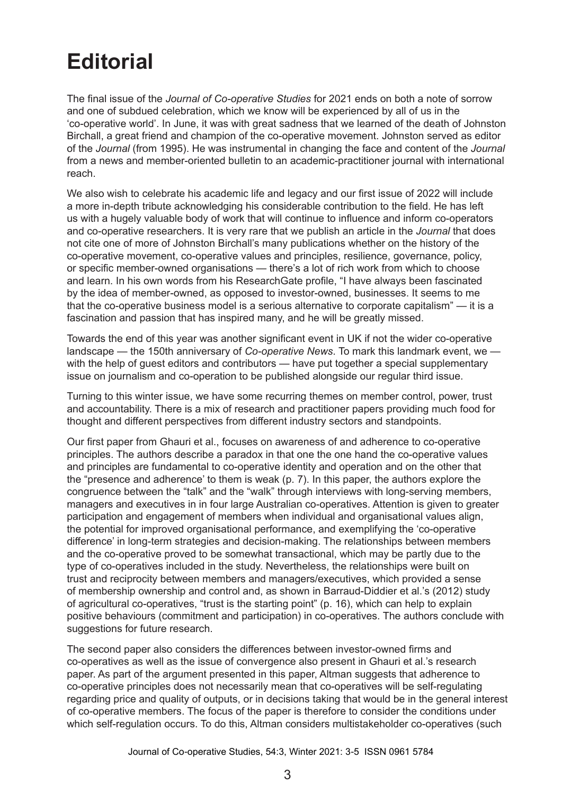## **Editorial**

The final issue of the *Journal of Co-operative Studies* for 2021 ends on both a note of sorrow and one of subdued celebration, which we know will be experienced by all of us in the 'co‑operative world'. In June, it was with great sadness that we learned of the death of Johnston Birchall, a great friend and champion of the co-operative movement. Johnston served as editor of the *Journal* (from 1995). He was instrumental in changing the face and content of the *Journal* from a news and member-oriented bulletin to an academic-practitioner journal with international reach.

We also wish to celebrate his academic life and legacy and our first issue of 2022 will include a more in-depth tribute acknowledging his considerable contribution to the field. He has left us with a hugely valuable body of work that will continue to influence and inform co-operators and co-operative researchers. It is very rare that we publish an article in the *Journal* that does not cite one of more of Johnston Birchall's many publications whether on the history of the co-operative movement, co-operative values and principles, resilience, governance, policy, or specific member-owned organisations — there's a lot of rich work from which to choose and learn. In his own words from his ResearchGate profile, "I have always been fascinated by the idea of member-owned, as opposed to investor-owned, businesses. It seems to me that the co-operative business model is a serious alternative to corporate capitalism" — it is a fascination and passion that has inspired many, and he will be greatly missed.

Towards the end of this year was another significant event in UK if not the wider co-operative landscape — the 150th anniversary of *Co-operative News*. To mark this landmark event, we with the help of guest editors and contributors — have put together a special supplementary issue on journalism and co-operation to be published alongside our regular third issue.

Turning to this winter issue, we have some recurring themes on member control, power, trust and accountability. There is a mix of research and practitioner papers providing much food for thought and different perspectives from different industry sectors and standpoints.

Our first paper from Ghauri et al., focuses on awareness of and adherence to co-operative principles. The authors describe a paradox in that one the one hand the co-operative values and principles are fundamental to co-operative identity and operation and on the other that the "presence and adherence' to them is weak (p. 7). In this paper, the authors explore the congruence between the "talk" and the "walk" through interviews with long-serving members, managers and executives in in four large Australian co-operatives. Attention is given to greater participation and engagement of members when individual and organisational values align, the potential for improved organisational performance, and exemplifying the 'co-operative difference' in long-term strategies and decision-making. The relationships between members and the co-operative proved to be somewhat transactional, which may be partly due to the type of co-operatives included in the study. Nevertheless, the relationships were built on trust and reciprocity between members and managers/executives, which provided a sense of membership ownership and control and, as shown in Barraud-Diddier et al.'s (2012) study of agricultural co-operatives, "trust is the starting point" (p. 16), which can help to explain positive behaviours (commitment and participation) in co-operatives. The authors conclude with suggestions for future research.

The second paper also considers the differences between investor-owned firms and co‑operatives as well as the issue of convergence also present in Ghauri et al.'s research paper. As part of the argument presented in this paper, Altman suggests that adherence to co-operative principles does not necessarily mean that co-operatives will be self-regulating regarding price and quality of outputs, or in decisions taking that would be in the general interest of co-operative members. The focus of the paper is therefore to consider the conditions under which self-regulation occurs. To do this, Altman considers multistakeholder co-operatives (such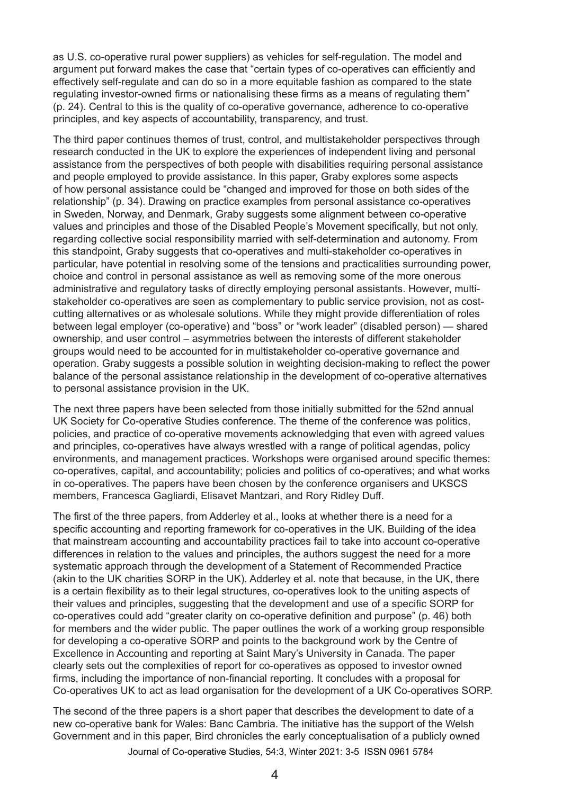as U.S. co-operative rural power suppliers) as vehicles for self-regulation. The model and argument put forward makes the case that "certain types of co‑operatives can efficiently and effectively self-regulate and can do so in a more equitable fashion as compared to the state regulating investor-owned firms or nationalising these firms as a means of regulating them" (p. 24). Central to this is the quality of co-operative governance, adherence to co-operative principles, and key aspects of accountability, transparency, and trust.

The third paper continues themes of trust, control, and multistakeholder perspectives through research conducted in the UK to explore the experiences of independent living and personal assistance from the perspectives of both people with disabilities requiring personal assistance and people employed to provide assistance. In this paper, Graby explores some aspects of how personal assistance could be "changed and improved for those on both sides of the relationship" (p. 34). Drawing on practice examples from personal assistance co-operatives in Sweden, Norway, and Denmark, Graby suggests some alignment between co-operative values and principles and those of the Disabled People's Movement specifically, but not only, regarding collective social responsibility married with self-determination and autonomy. From this standpoint, Graby suggests that co-operatives and multi-stakeholder co-operatives in particular, have potential in resolving some of the tensions and practicalities surrounding power, choice and control in personal assistance as well as removing some of the more onerous administrative and regulatory tasks of directly employing personal assistants. However, multistakeholder co-operatives are seen as complementary to public service provision, not as costcutting alternatives or as wholesale solutions. While they might provide differentiation of roles between legal employer (co-operative) and "boss" or "work leader" (disabled person) — shared ownership, and user control – asymmetries between the interests of different stakeholder groups would need to be accounted for in multistakeholder co-operative governance and operation. Graby suggests a possible solution in weighting decision-making to reflect the power balance of the personal assistance relationship in the development of co-operative alternatives to personal assistance provision in the UK.

The next three papers have been selected from those initially submitted for the 52nd annual UK Society for Co-operative Studies conference. The theme of the conference was politics, policies, and practice of co-operative movements acknowledging that even with agreed values and principles, co-operatives have always wrestled with a range of political agendas, policy environments, and management practices. Workshops were organised around specific themes: co-operatives, capital, and accountability; policies and politics of co-operatives; and what works in co-operatives. The papers have been chosen by the conference organisers and UKSCS members, Francesca Gagliardi, Elisavet Mantzari, and Rory Ridley Duff.

The first of the three papers, from Adderley et al., looks at whether there is a need for a specific accounting and reporting framework for co-operatives in the UK. Building of the idea that mainstream accounting and accountability practices fail to take into account co-operative differences in relation to the values and principles, the authors suggest the need for a more systematic approach through the development of a Statement of Recommended Practice (akin to the UK charities SORP in the UK). Adderley et al. note that because, in the UK, there is a certain flexibility as to their legal structures, co-operatives look to the uniting aspects of their values and principles, suggesting that the development and use of a specific SORP for co‑operatives could add "greater clarity on co-operative definition and purpose" (p. 46) both for members and the wider public. The paper outlines the work of a working group responsible for developing a co-operative SORP and points to the background work by the Centre of Excellence in Accounting and reporting at Saint Mary's University in Canada. The paper clearly sets out the complexities of report for co-operatives as opposed to investor owned firms, including the importance of non-financial reporting. It concludes with a proposal for Co‑operatives UK to act as lead organisation for the development of a UK Co-operatives SORP.

The second of the three papers is a short paper that describes the development to date of a new co-operative bank for Wales: Banc Cambria. The initiative has the support of the Welsh Government and in this paper, Bird chronicles the early conceptualisation of a publicly owned

Journal of Co‑operative Studies, 54:3, Winter 2021: 3‑5 ISSN 0961 5784